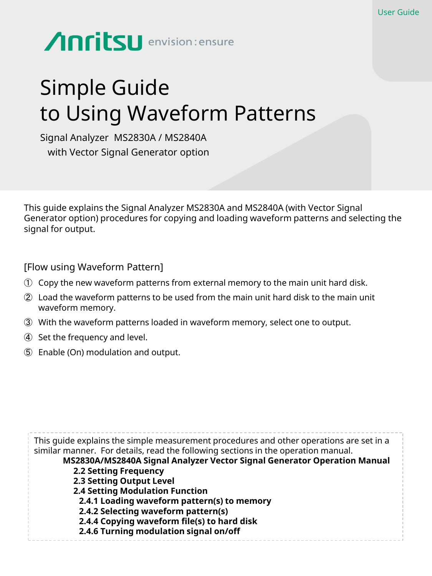# Anritsu envision: ensure

## Simple Guide to Using Waveform Patterns

Signal Analyzer MS2830A / MS2840A with Vector Signal Generator option

This guide explains the Signal Analyzer MS2830A and MS2840A (with Vector Signal Generator option) procedures for copying and loading waveform patterns and selecting the signal for output.

[Flow using Waveform Pattern]

- ① Copy the new waveform patterns from external memory to the main unit hard disk.
- ② Load the waveform patterns to be used from the main unit hard disk to the main unit waveform memory.
- ③ With the waveform patterns loaded in waveform memory, select one to output.
- ④ Set the frequency and level.
- ⑤ Enable (On) modulation and output.

This guide explains the simple measurement procedures and other operations are set in a similar manner. For details, read the following sections in the operation manual. **MS2830A/MS2840A Signal Analyzer Vector Signal Generator Operation Manual 2.2 Setting Frequency 2.3 Setting Output Level 2.4 Setting Modulation Function 2.4.1 Loading waveform pattern(s) to memory 2.4.2 Selecting waveform pattern(s) 2.4.4 Copying waveform file(s) to hard disk 2.4.6 Turning modulation signal on/off**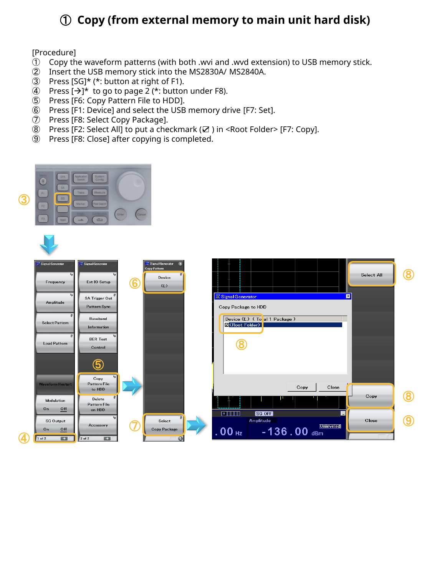## **Copy (from external memory to main unit hard disk)**

#### [Procedure]

- Copy the waveform patterns (with both .wvi and .wvd extension) to USB memory stick.
- Insert the USB memory stick into the MS2830A/ MS2840A.
- Press [SG]\* (\*: button at right of F1).
- 4) Press  $[\rightarrow]^{*}$  to go to page 2 (\*: button under F8).
- Press [F6: Copy Pattern File to HDD].
- Press [F1: Device] and select the USB memory drive [F7: Set].
- Press [F8: Select Copy Package].
- Press [F2: Select All] to put a checkmark (☑ ) in <Root Folder> [F7: Copy].
- Press [F8: Close] after copying is completed.

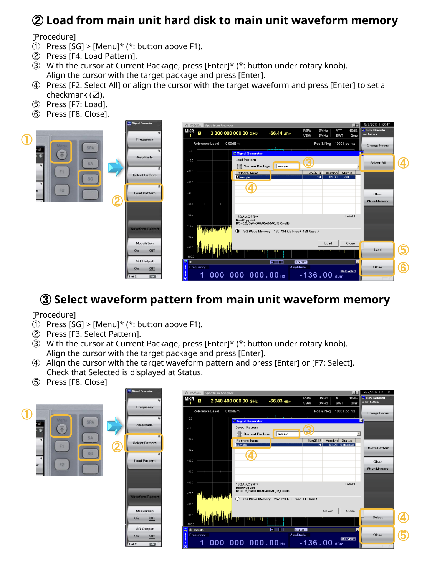## **Load from main unit hard disk to main unit waveform memory**

#### [Procedure]

- $\circled{1}$  Press [SG] > [Menu]\* (\*: button above F1).
- Press [F4: Load Pattern].
- With the cursor at Current Package, press [Enter]\* (\*: button under rotary knob). Align the cursor with the target package and press [Enter].
- Press [F2: Select All] or align the cursor with the target waveform and press [Enter] to set a checkmark (☑).
- Press [F7: Load].
- Press [F8: Close].



### **Select waveform pattern from main unit waveform memory**

#### [Procedure]

- $\circled{1}$  Press [SG] > [Menu]\* (\*: button above F1).
- Press [F3: Select Pattern].
- With the cursor at Current Package, press [Enter]\* (\*: button under rotary knob). Align the cursor with the target package and press [Enter].
- Align the cursor with the target waveform pattern and press [Enter] or [F7: Select]. Check that Selected is displayed at Status.
- Press [F8: Close]